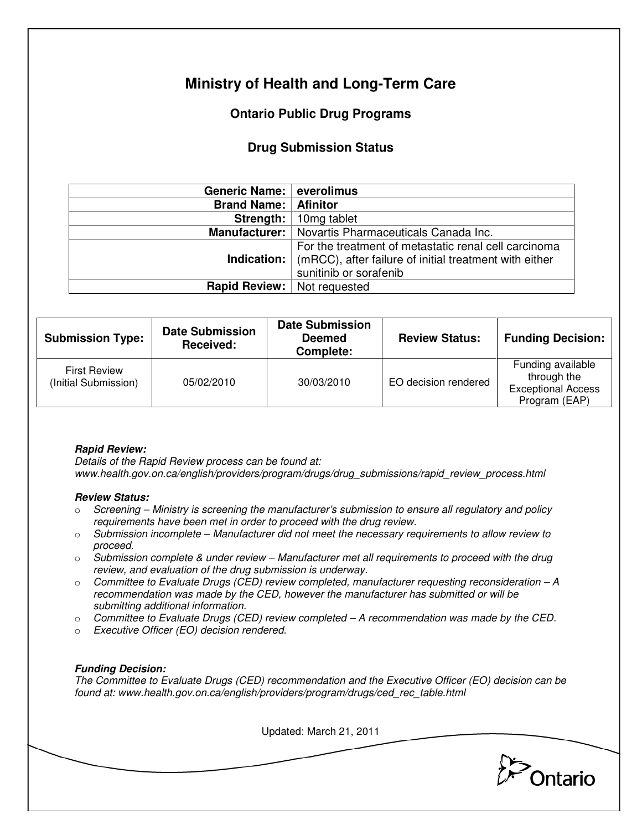# **Ministry of Health and Long-Term Care**

# **Ontario Public Drug Programs**

## **Drug Submission Status**

| Generic Name: everolimus           |                                                                                                                                                             |  |  |
|------------------------------------|-------------------------------------------------------------------------------------------------------------------------------------------------------------|--|--|
| <b>Brand Name:   Afinitor</b>      |                                                                                                                                                             |  |  |
| Strength:                          | 10mg tablet                                                                                                                                                 |  |  |
|                                    | <b>Manufacturer:</b>   Novartis Pharmaceuticals Canada Inc.                                                                                                 |  |  |
|                                    | For the treatment of metastatic renal cell carcinoma<br><b>Indication:</b> (mRCC), after failure of initial treatment with either<br>sunitinib or sorafenib |  |  |
| <b>Rapid Review:</b> Not requested |                                                                                                                                                             |  |  |

| <b>Submission Type:</b>                     | <b>Date Submission</b><br><b>Received:</b> | <b>Date Submission</b><br><b>Deemed</b><br>Complete: | <b>Review Status:</b> | <b>Funding Decision:</b>                                                       |
|---------------------------------------------|--------------------------------------------|------------------------------------------------------|-----------------------|--------------------------------------------------------------------------------|
| <b>First Review</b><br>(Initial Submission) | 05/02/2010                                 | 30/03/2010                                           | EO decision rendered  | Funding available<br>through the<br><b>Exceptional Access</b><br>Program (EAP) |

## **Rapid Review:**

Details of the Rapid Review process can be found at: www.health.gov.on.ca/english/providers/program/drugs/drug\_submissions/rapid\_review\_process.html

### **Review Status:**

- $\circ$  Screening Ministry is screening the manufacturer's submission to ensure all regulatory and policy requirements have been met in order to proceed with the drug review.
- $\circ$  Submission incomplete Manufacturer did not meet the necessary requirements to allow review to proceed.
- $\circ$  Submission complete & under review Manufacturer met all requirements to proceed with the drug review, and evaluation of the drug submission is underway.
- $\circ$  Committee to Evaluate Drugs (CED) review completed, manufacturer requesting reconsideration A recommendation was made by the CED, however the manufacturer has submitted or will be submitting additional information.
- $\circ$  Committee to Evaluate Drugs (CED) review completed  $-A$  recommendation was made by the CED.
- o Executive Officer (EO) decision rendered.

### **Funding Decision:**

The Committee to Evaluate Drugs (CED) recommendation and the Executive Officer (EO) decision can be found at: www.health.gov.on.ca/english/providers/program/drugs/ced\_rec\_table.html

Updated: March 21, 2011